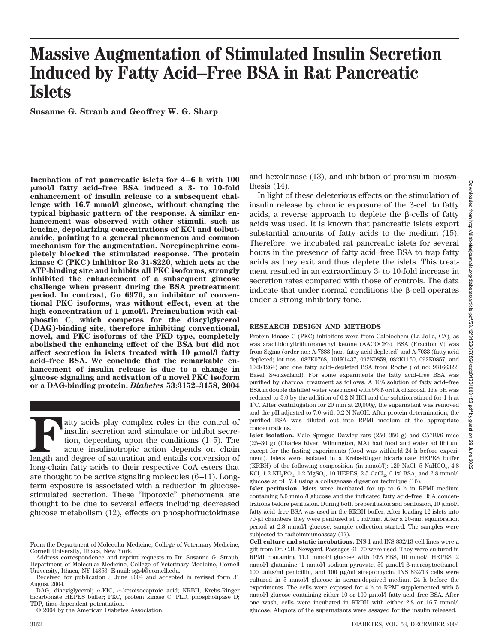# **Massive Augmentation of Stimulated Insulin Secretion Induced by Fatty Acid–Free BSA in Rat Pancreatic Islets**

**Susanne G. Straub and Geoffrey W. G. Sharp**

**Incubation of rat pancreatic islets for 4 – 6 h with 100 mol/l fatty acid–free BSA induced a 3- to 10-fold enhancement of insulin release to a subsequent challenge with 16.7 mmol/l glucose, without changing the typical biphasic pattern of the response. A similar enhancement was observed with other stimuli, such as leucine, depolarizing concentrations of KCl and tolbutamide, pointing to a general phenomenon and common mechanism for the augmentation. Norepinephrine completely blocked the stimulated response. The protein kinase C (PKC) inhibitor Ro 31-8220, which acts at the ATP-binding site and inhibits all PKC isoforms, strongly inhibited the enhancement of a subsequent glucose challenge when present during the BSA pretreatment period. In contrast, Go 6976, an inhibitor of conventional PKC isoforms, was without effect, even at the** high concentration of 1 µmol/l. Preincubation with cal**phostin C, which competes for the diacylglycerol (DAG)-binding site, therefore inhibiting conventional, novel, and PKC isoforms of the PKD type, completely abolished the enhancing effect of the BSA but did not** affect secretion in islets treated with 10  $\mu$ mol/l fatty **acid–free BSA. We conclude that the remarkable enhancement of insulin release is due to a change in glucose signaling and activation of a novel PKC isoform or a DAG-binding protein.** *Diabetes* **53:3152–3158, 2004**

**Factor Acids play complex roles in the control of insulin secretion, depending upon the conditions (1–5). The acute insulinotropic action depends on chain length and degree of saturation and entails conversion of** insulin secretion and stimulate or inhibit secretion, depending upon the conditions (1–5). The acute insulinotropic action depends on chain length and degree of saturation and entails conversion of long-chain fatty acids to their respective CoA esters that are thought to be active signaling molecules (6–11). Longterm exposure is associated with a reduction in glucosestimulated secretion. These "lipotoxic" phenomena are thought to be due to several effects including decreased glucose metabolism (12), effects on phosphofructokinase

and hexokinase (13), and inhibition of proinsulin biosynthesis (14).

In light of these deleterious effects on the stimulation of insulin release by chronic exposure of the  $\beta$ -cell to fatty acids, a reverse approach to deplete the  $\beta$ -cells of fatty acids was used. It is known that pancreatic islets export substantial amounts of fatty acids to the medium (15). Therefore, we incubated rat pancreatic islets for several hours in the presence of fatty acid–free BSA to trap fatty acids as they exit and thus deplete the islets. This treatment resulted in an extraordinary 3- to 10-fold increase in secretion rates compared with those of controls. The data indicate that under normal conditions the  $\beta$ -cell operates under a strong inhibitory tone.

### **RESEARCH DESIGN AND METHODS**

Protein kinase C (PKC) inhibitors were from Calbiochem (La Jolla, CA), as was arachidonyltrifluoromethyl ketone (AACOCF3). BSA (Fraction V) was from Sigma (order no.: A-7888 [non–fatty acid depleted] and A-7033 (fatty acid depleted; lot nos.: 082K0768, 101K1437, 092K0858, 082K1150, 092K0857, and 102K1264) and one fatty acid–depleted BSA from Roche (lot no: 93166322; Basel, Switzerland). For some experiments the fatty acid–free BSA was purified by charcoal treatment as follows. A 10% solution of fatty acid–free BSA in double distilled water was mixed with 5% Norit A charcoal. The pH was reduced to 3.0 by the addition of 0.2 N HCl and the solution stirred for 1 h at 4°C. After centrifugation for 20 min at 20,000*g*, the supernatant was removed and the pH adjusted to 7.0 with 0.2 N NaOH. After protein determination, the purified BSA was diluted out into RPMI medium at the appropriate concentrations.

**Islet isolation.** Male Sprague Dawley rats (250–350 g) and C57Bl/6 mice (25–30 g) (Charles River, Wilmington, MA) had food and water ad libitum except for the fasting experiments (food was withheld 24 h before experiment). Islets were isolated in a Krebs-Ringer bicarbonate HEPES buffer (KRBH) of the following composition (in mmol/l): 129 NaCl, 5 NaHCO $_3$ , 4.8 KCl,  $1.2 \text{ KH}_2\text{PO}_4$ ,  $1.2 \text{ MgSO}_4$ ,  $10 \text{ HEPES}, 2.5 \text{ CaCl}_2$ ,  $0.1\% \text{ BSA}, \text{ and } 2.8 \text{ mmol/l}$ glucose at pH 7.4 using a collagenase digestion technique (16).

**Islet perifusion.** Islets were incubated for up to 6 h in RPMI medium containing 5.6 mmol/l glucose and the indicated fatty acid–free BSA concentrations before perifusion. During both preperifusion and perifusion,  $10 \mu \text{mol/l}$ fatty acid–free BSA was used in the KRBH buffer. After loading 12 islets into 70-µl chambers they were perifused at 1 ml/min. After a 20-min equilibration period at 2.8 mmol/l glucose, sample collection started. The samples were subjected to radioimmunoassay (17).

From the Department of Molecular Medicine, College of Veterinary Medicine, Cornell University, Ithaca, New York.

Address correspondence and reprint requests to Dr. Susanne G. Straub, Department of Molecular Medicine, College of Veterinary Medicine, Cornell University, Ithaca, NY 14853. E-mail: sgs4@cornell.edu.

Received for publication 3 June 2004 and accepted in revised form 31 August 2004.

DAG, diacylglycerol;  $\alpha$ -KIC,  $\alpha$ -ketoisocaproic acid; KRBH, Krebs-Ringer bicarbonate HEPES buffer; PKC, protein kinase C; PLD, phospholipase D; TDP, time-dependent potentiation.

<sup>© 2004</sup> by the American Diabetes Association.

**Cell culture and static incubations.** INS-1 and INS 832/13 cell lines were a gift from Dr. C.B. Newgard. Passages 61–70 were used. They were cultured in RPMI containing 11.1 mmol/l glucose with 10% FBS, 10 mmol/l HEPES, 2 mmol/l glutamine, 1 mmol/l sodium pyruvate, 50 μmol/l β-mercaptoethanol, 100 units/ml penicillin, and 100 μg/ml streptomycin. INS 832/13 cells were cultured in 5 mmol/l glucose in serum-deprived medium 24 h before the experiments. The cells were exposed for 4 h to RPMI supplemented with 5 mmol/l glucose containing either 10 or 100  $\mu$ mol/l fatty acid–free BSA. After one wash, cells were incubated in KRBH with either 2.8 or 16.7 mmol/l glucose. Aliquots of the supernatants were assayed for the insulin released.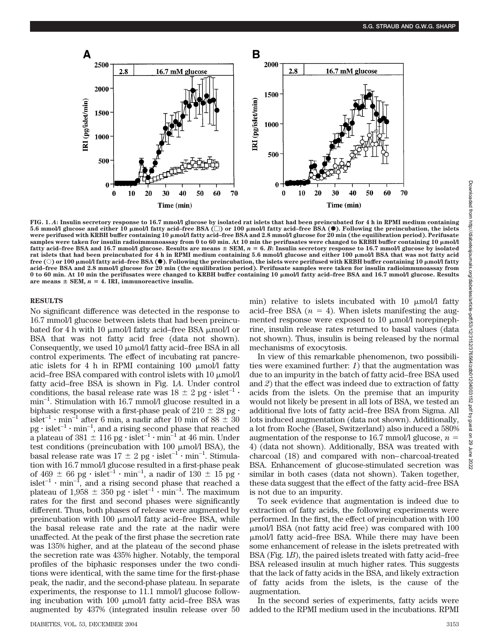

**FIG. 1.** *A***: Insulin secretory response to 16.7 mmol/l glucose by isolated rat islets that had been preincubated for 4 h in RPMI medium containing 5.6 mmol/l glucose and either 10 mol/l fatty acid–free BSA (**-**) or 100 mol/l fatty acid–free BSA (**F**). Following the preincubation, the islets were perifused with KRBH buffer containing 10 mol/l fatty acid–free BSA and 2.8 mmol/l glucose for 20 min (the equilibration period). Perifusate samples were taken for insulin radioimmunoassay from 0 to 60 min. At 10 min the perifusates were changed to KRBH buffer containing 10 mol/l** fatty acid–free BSA and 16.7 mmol/l glucose. Results are means  $\pm$  SEM,  $n = 6$ . B: Insulin secretory response to 16.7 mmol/l glucose by isolated **rat islets that had been preincubated for 4 h in RPMI medium containing 5.6 mmol/l glucose and either 100 mol/l BSA that was not fatty acid** free ( $\circ$ ) or 100  $\mu$ mol/l fatty acid–free BSA ( $\bullet$ ). Following the preincubation, the islets were perifused with KRBH buffer containing 10  $\mu$ mol/l fatty **acid–free BSA and 2.8 mmol/l glucose for 20 min (the equilibration period). Perifusate samples were taken for insulin radioimmunoassay from** 0 to 60 min. At 10 min the perifusates were changed to KRBH buffer containing 10  $\mu$ mol/l fatty acid–free BSA and 16.7 mmol/l glucose. Results are means  $\pm$  **SEM,**  $n = 4$ . IRI, immunoreactive insulin.

## **RESULTS**

No significant difference was detected in the response to 16.7 mmol/l glucose between islets that had been preincubated for 4 h with 10  $\mu$ mol/l fatty acid–free BSA  $\mu$ mol/l or BSA that was not fatty acid free (data not shown). Consequently, we used  $10 \mu$ mol/l fatty acid–free BSA in all control experiments. The effect of incubating rat pancreatic islets for 4 h in RPMI containing  $100 \mu$ mol/l fatty acid–free BSA compared with control islets with  $10 \mu \mathrm{mol/l}$ fatty acid–free BSA is shown in Fig. 1*A*. Under control conditions, the basal release rate was  $18 \pm 2$  pg  $\cdot$  islet<sup>-1</sup>  $\cdot$  $min^{-1}$ . Stimulation with 16.7 mmol/l glucose resulted in a biphasic response with a first-phase peak of  $210 \pm 28$  pg  $\cdot$ islet<sup>-1</sup>  $\cdot$  min<sup>-1</sup> after 6 min, a nadir after 10 min of 88  $\pm$  30  $pg \cdot islet^{-1} \cdot min^{-1}$ , and a rising second phase that reached a plateau of 381  $\pm$  116 pg  $\cdot$  islet<sup>-1</sup>  $\cdot$  min<sup>-1</sup> at 46 min. Under test conditions (preincubation with  $100 \mu$ mol/l BSA), the basal release rate was  $17 \pm 2$  pg  $\cdot$  islet<sup>-1</sup>  $\cdot$  min<sup>-1</sup>. Stimulation with 16.7 mmol/l glucose resulted in a first-phase peak of 469  $\pm$  66 pg  $\cdot$  islet<sup>-1</sup>  $\cdot$  min<sup>-1</sup>, a nadir of 130  $\pm$  15 pg  $\cdot$  $islet^{-1} \cdot min^{-1}$ , and a rising second phase that reached a plateau of 1,958  $\pm$  350 pg  $\cdot$  islet<sup>-1</sup>  $\cdot$  min<sup>-1</sup>. The maximum rates for the first and second phases were significantly different. Thus, both phases of release were augmented by preincubation with  $100 \mu$ mol/l fatty acid–free BSA, while the basal release rate and the rate at the nadir were unaffected. At the peak of the first phase the secretion rate was 135% higher, and at the plateau of the second phase the secretion rate was 435% higher. Notably, the temporal profiles of the biphasic responses under the two conditions were identical, with the same time for the first-phase peak, the nadir, and the second-phase plateau. In separate experiments, the response to 11.1 mmol/l glucose following incubation with  $100 \mu$ mol/l fatty acid–free BSA was augmented by 437% (integrated insulin release over 50

min) relative to islets incubated with  $10 \mu$ mol/l fatty acid–free BSA  $(n = 4)$ . When islets manifesting the augmented response were exposed to  $10 \mu$ mol/l norepinephrine, insulin release rates returned to basal values (data not shown). Thus, insulin is being released by the normal mechanisms of exocytosis.

In view of this remarkable phenomenon, two possibilities were examined further: *1*) that the augmentation was due to an impurity in the batch of fatty acid–free BSA used and *2*) that the effect was indeed due to extraction of fatty acids from the islets. On the premise that an impurity would not likely be present in all lots of BSA, we tested an additional five lots of fatty acid–free BSA from Sigma. All lots induced augmentation (data not shown). Additionally, a lot from Roche (Basel, Switzerland) also induced a 580% augmentation of the response to 16.7 mmol/l glucose,  $n =$ 4) (data not shown). Additionally, BSA was treated with charcoal (18) and compared with non–charcoal-treated BSA. Enhancement of glucose-stimulated secretion was similar in both cases (data not shown). Taken together, these data suggest that the effect of the fatty acid–free BSA is not due to an impurity.

To seek evidence that augmentation is indeed due to extraction of fatty acids, the following experiments were performed. In the first, the effect of preincubation with 100 -mol/l BSA (not fatty acid free) was compared with 100 -mol/l fatty acid–free BSA. While there may have been some enhancement of release in the islets pretreated with BSA (Fig. 1*B*), the paired islets treated with fatty acid–free BSA released insulin at much higher rates. This suggests that the lack of fatty acids in the BSA, and likely extraction of fatty acids from the islets, is the cause of the augmentation.

In the second series of experiments, fatty acids were added to the RPMI medium used in the incubations. RPMI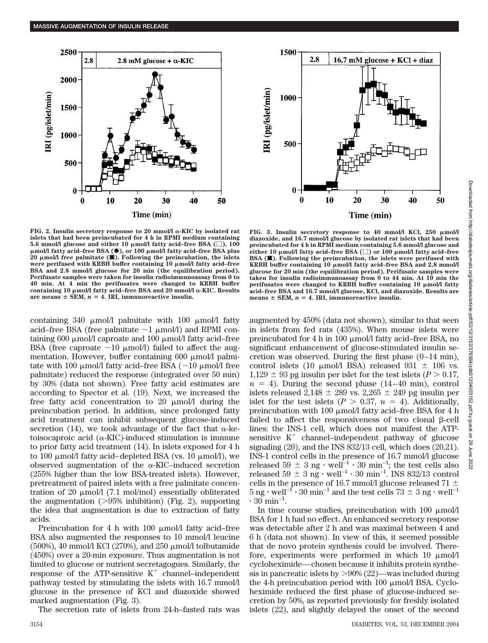



FIG. 2. Insulin secretory response to 20 mmol/l  $\alpha$ -KIC by isolated rat **islets that had been preincubated for 4 h in RPMI medium containing**  $5.6$  mmol/l glucose and either  $10$   $\mu$ mol/l fatty acid–free BSA ( $\Box$ ),  $100$ **mol/l fatty acid–free BSA (**F**), or 100 mol/l fatty acid–free BSA plus 20 mol/l free palmitate (**f**). Following the preincubation, the islets were perifused with KRBH buffer containing 10 mol/l fatty acid–free BSA and 2.8 mmol/l glucose for 20 min (the equilibration period). Perifusate samples were taken for insulin radioimmunoassay from 0 to 40 min. At 4 min the perifusates were changed to KRBH buffer** containing 10  $\mu$ mol/l fatty acid–free BSA and 20  $\mu$ mol/l  $\alpha$ -KIC. Results are means  $\pm$  **SEM,**  $n = 4$ . IRI, immunoreactive insulin.

containing 340  $\mu$ mol/l palmitate with 100  $\mu$ mol/l fatty acid–free BSA (free palmitate  $\sim$ 1  $\mu$ mol/l) and RPMI containing 600 µmol/l caproate and 100 µmol/l fatty acid–free BSA (free caproate  $\sim$ 10  $\mu$ mol/l) failed to affect the augmentation. However, buffer containing 600 µmol/l palmitate with 100  $\mu$ mol/l fatty acid–free BSA ( $\sim$ 10  $\mu$ mol/l free palmitate) reduced the response (integrated over 50 min) by 30% (data not shown). Free fatty acid estimates are according to Spector et al. (19). Next, we increased the free fatty acid concentration to 20  $\mu$ mol/l during the preincubation period. In addition, since prolonged fatty acid treatment can inhibit subsequent glucose-induced secretion (14), we took advantage of the fact that  $\alpha$ -ketoisocaproic acid ( $\alpha$ -KIC)-induced stimulation is immune to prior fatty acid treatment (14). In islets exposed for 4 h to 100  $\mu$ mol/l fatty acid–depleted BSA (vs. 10  $\mu$ mol/l), we observed augmentation of the  $\alpha$ -KIC–induced secretion (255% higher than the low BSA-treated islets). However, pretreatment of paired islets with a free palmitate concentration of 20  $\mu$ mol/l (7.1 mol/mol) essentially obliterated the augmentation  $(>\!95\%$  inhibition) (Fig. 2), supporting the idea that augmentation is due to extraction of fatty acids.

Preincubation for 4 h with  $100 \mu$ mol/l fatty acid-free BSA also augmented the responses to 10 mmol/l leucine  $(500\%)$ , 40 mmol/l KCl  $(270\%)$ , and  $250 \mu$ mol/l tolbutamide (450%) over a 20-min exposure. Thus augmentation is not limited to glucose or nutrient secretagogues. Similarly, the response of the ATP-sensitive  $K^+$  channel–independent pathway tested by stimulating the islets with 16.7 mmol/l glucose in the presence of KCl and diazoxide showed marked augmentation (Fig. 3).

The secretion rate of islets from 24-h–fasted rats was

FIG. 3. Insulin secretory response to 40 mmol/l KCl, 250  $\mu$ mol/l **diazoxide, and 16.7 mmol/l glucose by isolated rat islets that had been preincubated for 4 h in RPMI medium containing 5.6 mmol/l glucose and either 10** μmol/l fatty acid–free BSA (□) or 100 μmol/l fatty acid–free **BSA (**f**). Following the preincubation, the islets were perifused with KRBH buffer containing 10 mol/l fatty acid–free BSA and 2.8 mmol/l glucose for 20 min (the equilibration period). Perifusate samples were taken for insulin radioimmunoassay from 0 to 44 min. At 10 min the** perifusates were changed to KRBH buffer containing 10  $\mu$ mol/l fatty **acid–free BSA and 16.7 mmol/l glucose, KCl, and diazoxide. Results are**  $means \pm SEM, n = 4$ . IRI, immunoreactive insulin.

augmented by 450% (data not shown), similar to that seen in islets from fed rats (435%). When mouse islets were preincubated for 4 h in 100 µmol/l fatty acid–free BSA, no significant enhancement of glucose-stimulated insulin secretion was observed. During the first phase (0–14 min), control islets (10  $\mu$ mol/l BSA) released 931  $\pm$  106 vs.  $1,129 \pm 93$  pg insulin per islet for the test islets ( $P > 0.17$ ,  $n = 4$ ). During the second phase  $(14-40 \text{ min})$ , control islets released 2,148  $\pm$  289 vs. 2,265  $\pm$  249 pg insulin per islet for the test islets  $(P > 0.37, n = 4)$ . Additionally, preincubation with 100  $\mu$ mol/l fatty acid–free BSA for 4 h failed to affect the responsiveness of two clonal  $\beta$ -cell lines: the INS-1 cell, which does not manifest the ATPsensitive  $K^+$  channel–independent pathway of glucose signaling (20), and the INS 832/13 cell, which does (20,21). INS-1 control cells in the presence of 16.7 mmol/l glucose released  $59 \pm 3$  ng  $\cdot$  well<sup>-1</sup>  $\cdot$  30 min<sup>-1</sup>; the test cells also released  $59 \pm 3$  ng  $\cdot$  well<sup>-1</sup>  $\cdot$  30 min<sup>-1</sup>. INS 832/13 control cells in the presence of 16.7 mmol/l glucose released 71  $\pm$  $5 \text{ ng} \cdot \text{well}^{-1} \cdot 30 \text{ min}^{-1}$  and the test cells  $73 \pm 3 \text{ ng} \cdot \text{well}^{-1}$  $\cdot$  30 min<sup>-1</sup>.

In time course studies, preincubation with  $100 \mu$ mol/l BSA for 1 h had no effect. An enhanced secretory response was detectable after 2 h and was maximal between 4 and 6 h (data not shown). In view of this, it seemed possible that de novo protein synthesis could be involved. Therefore, experiments were performed in which  $10 \mu$ mol/l cycloheximide—chosen because it inhibits protein synthesis in pancreatic islets by  $>90\%$  (22)—was included during the 4-h preincubation period with 100  $\mu$ mol/l BSA. Cycloheximide reduced the first phase of glucose-induced secretion by 50%, as reported previously for freshly isolated islets (22), and slightly delayed the onset of the second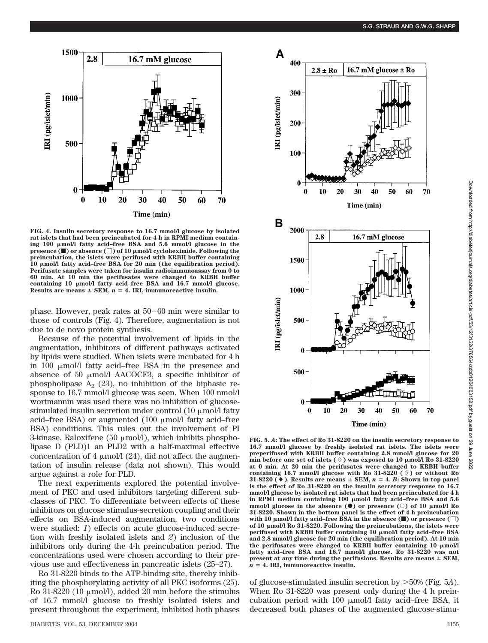

**FIG. 4. Insulin secretory response to 16.7 mmol/l glucose by isolated rat islets that had been preincubated for 4 h in RPMI medium containing 100 mol/l fatty acid–free BSA and 5.6 mmol/l glucose in the presence (■)** or absence (□) of 10 µmol/l cycloheximide. Following the **preincubation, the islets were perifused with KRBH buffer containing 10 mol/l fatty acid–free BSA for 20 min (the equilibration period). Perifusate samples were taken for insulin radioimmunoassay from 0 to 60 min. At 10 min the perifusates were changed to KRBH buffer containing 10 mol/l fatty acid–free BSA and 16.7 mmol/l glucose. Results are means**  $\pm$  **SEM,**  $n = 4$ . IRI, immunoreactive insulin.

phase. However, peak rates at 50–60 min were similar to those of controls (Fig. 4). Therefore, augmentation is not due to de novo protein synthesis.

Because of the potential involvement of lipids in the augmentation, inhibitors of different pathways activated by lipids were studied. When islets were incubated for 4 h in  $100 \mu$ mol/l fatty acid–free BSA in the presence and absence of 50  $\mu$ mol/l AACOCF3, a specific inhibitor of phospholipase  $A_2$  (23), no inhibition of the biphasic response to 16.7 mmol/l glucose was seen. When 100 nmol/l wortmannin was used there was no inhibition of glucosestimulated insulin secretion under control  $(10 \mu \text{mol}/\text{l}$  fatty acid–free BSA) or augmented (100 µmol/l fatty acid–free BSA) conditions. This rules out the involvement of PI  $3$ -kinase. Raloxifene (50  $\mu$ mol/l), which inhibits phospholipase D (PLD)1 an PLD2 with a half-maximal effective concentration of 4  $\mu$ mol/l (24), did not affect the augmentation of insulin release (data not shown). This would argue against a role for PLD.

The next experiments explored the potential involvement of PKC and used inhibitors targeting different subclasses of PKC. To differentiate between effects of these inhibitors on glucose stimulus-secretion coupling and their effects on BSA-induced augmentation, two conditions were studied: *1*) effects on acute glucose-induced secretion with freshly isolated islets and *2*) inclusion of the inhibitors only during the 4-h preincubation period. The concentrations used were chosen according to their previous use and effectiveness in pancreatic islets (25–27).

Ro 31-8220 binds to the ATP-binding site, thereby inhibiting the phosphorylating activity of all PKC isoforms (25). Ro 31-8220 (10  $\mu$ mol/l), added 20 min before the stimulus of 16.7 mmol/l glucose to freshly isolated islets and present throughout the experiment, inhibited both phases



Downloaded from http://diabetesjournals.org/diabetes/article-pdf/53/12/2195/35/4/2db01204001204001204 Downloaded from http://diabetesjournals.org/diabetes/article-pdf/53/12/3152/376564/zdb01204003152.pdf by guest on 29 June 20222022

**FIG. 5.** *A***: The effect of Ro 31-8220 on the insulin secretory response to 16.7 mmol/l glucose by freshly isolated rat islets. The islets were preperifused with KRBH buffer containing 2.8 mmol/l glucose for 20 min before one set of islets () was exposed to 10 mol/l Ro 31-8220 at 0 min. At 20 min the perifusates were changed to KRBH buffer** containing 16.7 mmol/l glucose with Ro  $31-8220$  ( $\diamond$ ) or without Ro  $31-8220$  ( $\blacklozenge$ ). Results are means  $\pm$  SEM,  $n = 4$ . *B*: Shown in top panel **is the effect of Ro 31-8220 on the insulin secretory response to 16.7 mmol/l glucose by isolated rat islets that had been preincubated for 4 h in RPMI medium containing 100 mol/l fatty acid–free BSA and 5.6 mmol/l** glucose in the absence  $(\bullet)$  or presence  $(\circ)$  of 10  $\mu$ mol/l Ro **31-8220. Shown in the bottom panel is the effect of 4 h preincubation with 10**  $\mu$ mol/l fatty acid–free BSA in the absence ( $\blacksquare$ ) or presence ( $\Box$ ) **of 10 mol/l Ro 31-8220. Following the preincubations, the islets were perifused with KRBH buffer containing 10 mol/l fatty acid–free BSA and 2.8 mmol/l glucose for 20 min (the equilibration period). At 10 min the perifusates were changed to KRBH buffer containing 10 mol/l fatty acid–free BSA and 16.7 mmol/l glucose. Ro 31-8220 was not** present at any time during the perifusions. Results are means  $\pm$  SEM,  $n = 4$ . IRI, immunoreactive insulin.

of glucose-stimulated insulin secretion by 50% (Fig. 5*A*). When Ro 31-8220 was present only during the 4 h preincubation period with  $100 \mu$ mol/l fatty acid–free BSA, it decreased both phases of the augmented glucose-stimu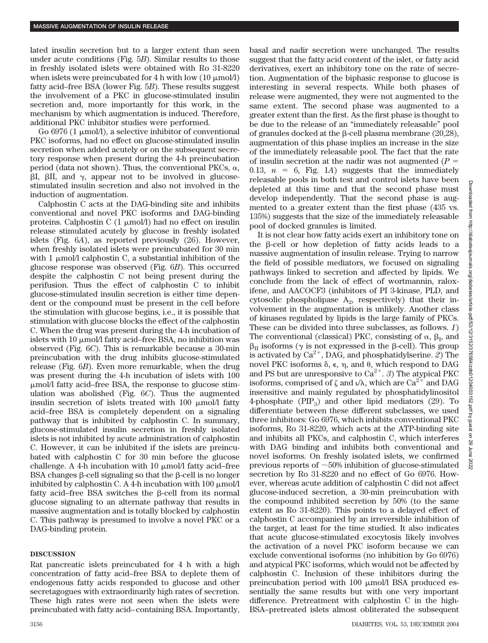lated insulin secretion but to a larger extent than seen under acute conditions (Fig. 5*B*). Similar results to those in freshly isolated islets were obtained with Ro 31-8220 when islets were preincubated for  $4 h$  with low  $(10 \mu \text{mol/l})$ fatty acid–free BSA (lower Fig. 5*B*). These results suggest the involvement of a PKC in glucose-stimulated insulin secretion and, more importantly for this work, in the mechanism by which augmentation is induced. Therefore, additional PKC inhibitor studies were performed.

Go 6976 (1  $\mu$ mol/l), a selective inhibitor of conventional PKC isoforms, had no effect on glucose-stimulated insulin secretion when added acutely or on the subsequent secretory response when present during the 4-h preincubation period (data not shown). Thus, the conventional PKCs,  $\alpha$ ,  $\beta I$ ,  $\beta II$ , and  $\gamma$ , appear not to be involved in glucosestimulated insulin secretion and also not involved in the induction of augmentation.

Calphostin C acts at the DAG-binding site and inhibits conventional and novel PKC isoforms and DAG-binding proteins. Calphostin C  $(1 \mu \text{mol/l})$  had no effect on insulin release stimulated acutely by glucose in freshly isolated islets (Fig. 6*A*), as reported previously (26). However, when freshly isolated islets were preincubated for 30 min with  $1 \mu \text{mol/l}$  calphostin C, a substantial inhibition of the glucose response was observed (Fig. 6*B*). This occurred despite the calphostin C not being present during the perifusion. Thus the effect of calphostin C to inhibit glucose-stimulated insulin secretion is either time dependent or the compound must be present in the cell before the stimulation with glucose begins, i.e., it is possible that stimulation with glucose blocks the effect of the calphostin C. When the drug was present during the 4-h incubation of islets with 10  $\mu$ mol/l fatty acid–free BSA, no inhibition was observed (Fig. 6*C*). This is remarkable because a 30-min preincubation with the drug inhibits glucose-stimulated release (Fig. 6*B*). Even more remarkable, when the drug was present during the 4-h incubation of islets with 100 -mol/l fatty acid–free BSA, the response to glucose stimulation was abolished (Fig. 6*C*). Thus the augmented insulin secretion of islets treated with  $100 \mu$ mol/l fatty acid–free BSA is completely dependent on a signaling pathway that is inhibited by calphostin C. In summary, glucose-stimulated insulin secretion in freshly isolated islets is not inhibited by acute administration of calphostin C. However, it can be inhibited if the islets are preincubated with calphostin C for 30 min before the glucose challenge. A 4-h incubation with  $10 \mu$ mol/l fatty acid-free BSA changes  $\beta$ -cell signaling so that the  $\beta$ -cell is no longer inhibited by calphostin C. A 4-h incubation with  $100 \mu$ mol/l fatty acid–free BSA switches the  $\beta$ -cell from its normal glucose signaling to an alternate pathway that results in massive augmentation and is totally blocked by calphostin C. This pathway is presumed to involve a novel PKC or a DAG-binding protein.

### **DISCUSSION**

Rat pancreatic islets preincubated for 4 h with a high concentration of fatty acid–free BSA to deplete them of endogenous fatty acids responded to glucose and other secretagogues with extraordinarily high rates of secretion. These high rates were not seen when the islets were preincubated with fatty acid–containing BSA. Importantly,

basal and nadir secretion were unchanged. The results suggest that the fatty acid content of the islet, or fatty acid derivatives, exert an inhibitory tone on the rate of secretion. Augmentation of the biphasic response to glucose is interesting in several respects. While both phases of release were augmented, they were not augmented to the same extent. The second phase was augmented to a greater extent than the first. As the first phase is thought to be due to the release of an "immediately releasable" pool of granules docked at the  $\beta$ -cell plasma membrane (20,28), augmentation of this phase implies an increase in the size of the immediately releasable pool. The fact that the rate of insulin secretion at the nadir was not augmented  $(P =$ 0.13,  $n = 6$ , Fig. 1*A*) suggests that the immediately releasable pools in both test and control islets have been depleted at this time and that the second phase must develop independently. That the second phase is augmented to a greater extent than the first phase (435 vs. 135%) suggests that the size of the immediately releasable pool of docked granules is limited.

It is not clear how fatty acids exert an inhibitory tone on the  $\beta$ -cell or how depletion of fatty acids leads to a massive augmentation of insulin release. Trying to narrow the field of possible mediators, we focused on signaling pathways linked to secretion and affected by lipids. We conclude from the lack of effect of wortmannin, raloxifene, and AACOCF3 (inhibitors of PI 3-kinase, PLD, and cytosolic phospholipase  $A_2$ , respectively) that their involvement in the augmentation is unlikely. Another class of kinases regulated by lipids is the large family of PKCs. These can be divided into three subclasses, as follows. *1*) The conventional (classical) PKC, consisting of  $\alpha$ ,  $\beta$ <sub>I</sub>, and  $\beta_{II}$  isoforms ( $\gamma$  is not expressed in the  $\beta$ -cell). This group is activated by  $Ca^{2+}$ , DAG, and phosphatidylserine.  $\varnothing$ ) The novel PKC isoforms  $\delta$ ,  $\epsilon$ ,  $\eta$ , and  $\theta$ , which respond to DAG and PS but are unresponsive to  $Ca^{2+}$ . 3) The atypical PKC isoforms, comprised of  $\zeta$  and  $\sqrt{\lambda}$ , which are Ca<sup>2+</sup> and DAG insensitive and mainly regulated by phosphatidylinositol 4-phosphate ( $PIP_3$ ) and other lipid mediators (29). To differentiate between these different subclasses, we used three inhibitors: Go 6976, which inhibits conventional PKC isoforms, Ro 31-8220, which acts at the ATP-binding site and inhibits all PKCs, and calphostin C, which interferes with DAG binding and inhibits both conventional and novel isoforms. On freshly isolated islets, we confirmed previous reports of  $\sim$  50% inhibition of glucose-stimulated secretion by Ro 31-8220 and no effect of Go 6976. However, whereas acute addition of calphostin C did not affect glucose-induced secretion, a 30-min preincubation with the compound inhibited secretion by 50% (to the same extent as Ro 31-8220). This points to a delayed effect of calphostin C accompanied by an irreversible inhibition of the target, at least for the time studied. It also indicates that acute glucose-stimulated exocytosis likely involves the activation of a novel PKC isoform because we can exclude conventional isoforms (no inhibition by Go 6976) and atypical PKC isoforms, which would not be affected by calphostin C. Inclusion of these inhibitors during the preincubation period with  $100 \mu$  mol/l BSA produced essentially the same results but with one very important difference. Pretreatment with calphostin C in the high-BSA–pretreated islets almost obliterated the subsequent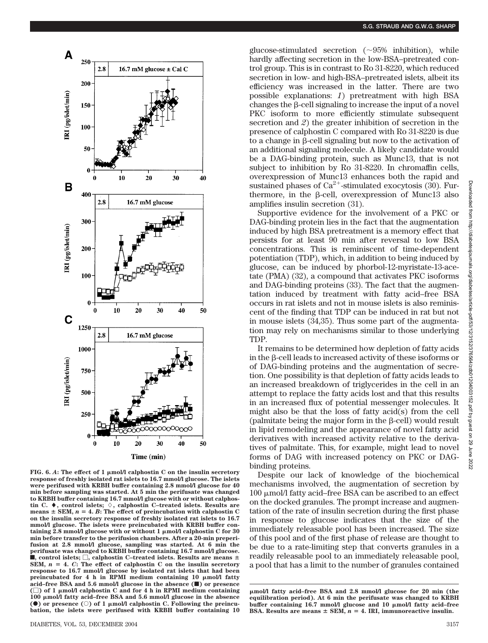

**FIG. 6.** *A***: The effect of 1 mol/l calphostin C on the insulin secretory response of freshly isolated rat islets to 16.7 mmol/l glucose. The islets were perifused with KRBH buffer containing 2.8 mmol/l glucose for 40 min before sampling was started. At 5 min the perifusate was changed to KRBH buffer containing 16.7 mmol/l glucose with or without calphostin C. , control islets; , calphostin C–treated islets. Results are**  $m$ eans  $\pm$  **SEM,**  $n = 4$ .  $B$ : The effect of preincubation with calphostin C **on the insulin secretory response of freshly isolated rat islets to 16.7 mmol/l glucose. The islets were preincubated with KRBH buffer containing 2.8 mmol/l glucose with or without 1 mol/l calphostin C for 30 min before transfer to the perifusion chambers. After a 20-min preperifusion at 2.8 mmol/l glucose, sampling was started. At 6 min the perifusate was changed to KRBH buffer containing 16.7 mmol/l glucose.**  $\blacksquare$ , control islets;  $\Box$ , calphostin C-treated islets. Results are means  $\pm$ **SEM,**  $n = 4$ . *C*: The effect of calphostin C on the insulin secretory **response to 16.7 mmol/l glucose by isolated rat islets that had been** preincubated for 4 h in RPMI medium containing 10  $\mu$ mol/l fatty **acid–free BSA and 5.6 mmol/l glucose in the absence (**f**) or presence (**-**) of 1 mol/l calphostin C and for 4 h in RPMI medium containing 100 mol/l fatty acid–free BSA and 5.6 mmol/l glucose in the absence** (<sup>O</sup>) or presence (○) of 1  $\mu$ mol/l calphostin C. Following the preincu**bation, the islets were perifused with KRBH buffer containing 10**

glucose-stimulated secretion  $(\sim)5\%$  inhibition), while hardly affecting secretion in the low-BSA–pretreated control group. This is in contrast to Ro 31-8220, which reduced secretion in low- and high-BSA–pretreated islets, albeit its efficiency was increased in the latter. There are two possible explanations: *1*) pretreatment with high BSA changes the  $\beta$ -cell signaling to increase the input of a novel PKC isoform to more efficiently stimulate subsequent secretion and *2*) the greater inhibition of secretion in the presence of calphostin C compared with Ro 31-8220 is due to a change in  $\beta$ -cell signaling but now to the activation of an additional signaling molecule. A likely candidate would be a DAG-binding protein, such as Munc13, that is not subject to inhibition by Ro 31-8220. In chromaffin cells, overexpression of Munc13 enhances both the rapid and sustained phases of  $Ca^{2+}$ -stimulated exocytosis (30). Furthermore, in the B-cell, overexpression of Munc13 also amplifies insulin secretion (31).

Supportive evidence for the involvement of a PKC or DAG-binding protein lies in the fact that the augmentation induced by high BSA pretreatment is a memory effect that persists for at least 90 min after reversal to low BSA concentrations. This is reminiscent of time-dependent potentiation (TDP), which, in addition to being induced by glucose, can be induced by phorbol-12-myristate-13-acetate (PMA) (32), a compound that activates PKC isoforms and DAG-binding proteins (33). The fact that the augmentation induced by treatment with fatty acid–free BSA occurs in rat islets and not in mouse islets is also reminiscent of the finding that TDP can be induced in rat but not in mouse islets (34,35). Thus some part of the augmentation may rely on mechanisms similar to those underlying TDP.

It remains to be determined how depletion of fatty acids in the  $\beta$ -cell leads to increased activity of these isoforms or of DAG-binding proteins and the augmentation of secretion. One possibility is that depletion of fatty acids leads to an increased breakdown of triglycerides in the cell in an attempt to replace the fatty acids lost and that this results in an increased flux of potential messenger molecules. It might also be that the loss of fatty acid(s) from the cell (palmitate being the major form in the  $\beta$ -cell) would result in lipid remodeling and the appearance of novel fatty acid derivatives with increased activity relative to the derivatives of palmitate. This, for example, might lead to novel forms of DAG with increased potency on PKC or DAGbinding proteins.

Despite our lack of knowledge of the biochemical mechanisms involved, the augmentation of secretion by  $100 \mu$ mol/l fatty acid–free BSA can be ascribed to an effect on the docked granules. The prompt increase and augmentation of the rate of insulin secretion during the first phase in response to glucose indicates that the size of the immediately releasable pool has been increased. The size of this pool and of the first phase of release are thought to be due to a rate-limiting step that converts granules in a readily releasable pool to an immediately releasable pool, a pool that has a limit to the number of granules contained

**mol/l fatty acid–free BSA and 2.8 mmol/l glucose for 20 min (the equilibration period). At 6 min the perifusate was changed to KRBH buffer containing 16.7 mmol/l glucose and 10 mol/l fatty acid–free** BSA. Results are means  $\pm$  SEM,  $n = 4$ . IRI, immunoreactive insulin.